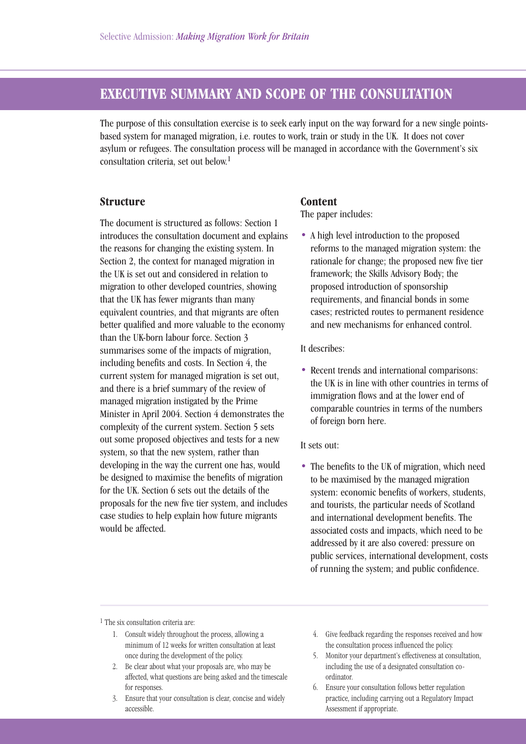# **EXECUTIVE SUMMARY AND SCOPE OF THE CONSULTATION**

The purpose of this consultation exercise is to seek early input on the way forward for a new single pointsbased system for managed migration, i.e. routes to work, train or study in the UK. It does not cover asylum or refugees. The consultation process will be managed in accordance with the Government's six consultation criteria, set out below.1

### **Structure**

The document is structured as follows: Section 1 introduces the consultation document and explains the reasons for changing the existing system. In Section 2, the context for managed migration in the UK is set out and considered in relation to migration to other developed countries, showing that the UK has fewer migrants than many equivalent countries, and that migrants are often better qualified and more valuable to the economy than the UK-born labour force. Section 3 summarises some of the impacts of migration, including benefits and costs. In Section 4, the current system for managed migration is set out, and there is a brief summary of the review of managed migration instigated by the Prime Minister in April 2004. Section 4 demonstrates the complexity of the current system. Section 5 sets out some proposed objectives and tests for a new system, so that the new system, rather than developing in the way the current one has, would be designed to maximise the benefits of migration for the UK. Section 6 sets out the details of the proposals for the new five tier system, and includes case studies to help explain how future migrants would be affected.

#### **Content**

The paper includes:

• A high level introduction to the proposed reforms to the managed migration system: the rationale for change; the proposed new five tier framework; the Skills Advisory Body; the proposed introduction of sponsorship requirements, and financial bonds in some cases; restricted routes to permanent residence and new mechanisms for enhanced control.

It describes:

• Recent trends and international comparisons: the UK is in line with other countries in terms of immigration flows and at the lower end of comparable countries in terms of the numbers of foreign born here.

#### It sets out:

• The benefits to the UK of migration, which need to be maximised by the managed migration system: economic benefits of workers, students, and tourists, the particular needs of Scotland and international development benefits. The associated costs and impacts, which need to be addressed by it are also covered: pressure on public services, international development, costs of running the system; and public confidence.

1 The six consultation criteria are:

- 1. Consult widely throughout the process, allowing a minimum of 12 weeks for written consultation at least once during the development of the policy.
- 2. Be clear about what your proposals are, who may be affected, what questions are being asked and the timescale for responses.
- 3. Ensure that your consultation is clear, concise and widely accessible.
- 4. Give feedback regarding the responses received and how the consultation process influenced the policy.
- 5. Monitor your department's effectiveness at consultation, including the use of a designated consultation coordinator.
- 6. Ensure your consultation follows better regulation practice, including carrying out a Regulatory Impact Assessment if appropriate.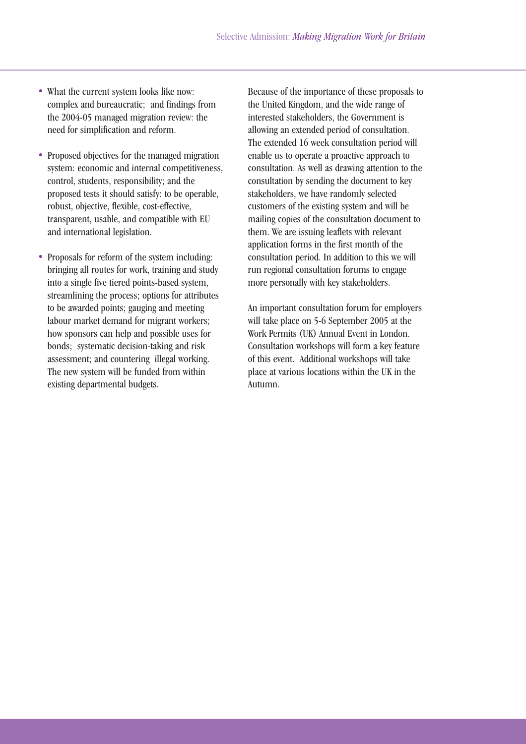- What the current system looks like now: complex and bureaucratic; and findings from the 2004-05 managed migration review: the need for simplification and reform.
- Proposed objectives for the managed migration system: economic and internal competitiveness, control, students, responsibility; and the proposed tests it should satisfy: to be operable, robust, objective, flexible, cost-effective, transparent, usable, and compatible with EU and international legislation.
- Proposals for reform of the system including: bringing all routes for work, training and study into a single five tiered points-based system, streamlining the process; options for attributes to be awarded points; gauging and meeting labour market demand for migrant workers; how sponsors can help and possible uses for bonds; systematic decision-taking and risk assessment; and countering illegal working. The new system will be funded from within existing departmental budgets.

Because of the importance of these proposals to the United Kingdom, and the wide range of interested stakeholders, the Government is allowing an extended period of consultation. The extended 16 week consultation period will enable us to operate a proactive approach to consultation. As well as drawing attention to the consultation by sending the document to key stakeholders, we have randomly selected customers of the existing system and will be mailing copies of the consultation document to them. We are issuing leaflets with relevant application forms in the first month of the consultation period. In addition to this we will run regional consultation forums to engage more personally with key stakeholders.

An important consultation forum for employers will take place on 5-6 September 2005 at the Work Permits (UK) Annual Event in London. Consultation workshops will form a key feature of this event. Additional workshops will take place at various locations within the UK in the Autumn.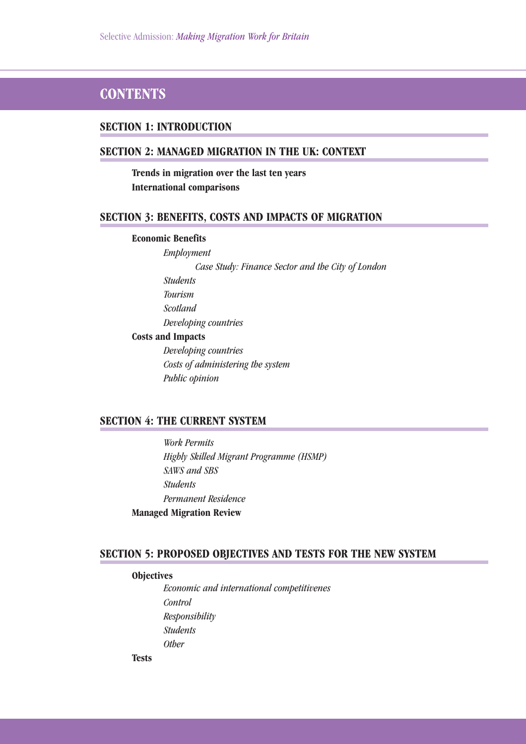# **CONTENTS**

#### **SECTION 1: INTRODUCTION**

## **SECTION 2: MANAGED MIGRATION IN THE UK: CONTEXT**

**Trends in migration over the last ten years International comparisons**

#### **SECTION 3: BENEFITS, COSTS AND IMPACTS OF MIGRATION**

#### **Economic Benefits**

*Employment Case Study: Finance Sector and the City of London Students Tourism Scotland Developing countries* **Costs and Impacts**

> *Developing countries Costs of administering the system Public opinion*

## **SECTION 4: THE CURRENT SYSTEM**

*Work Permits Highly Skilled Migrant Programme (HSMP) SAWS and SBS Students Permanent Residence* **Managed Migration Review**

#### **SECTION 5: PROPOSED OBJECTIVES AND TESTS FOR THE NEW SYSTEM**

#### **Objectives**

**Tests**

*Economic and international competitivenes Control Responsibility Students Other*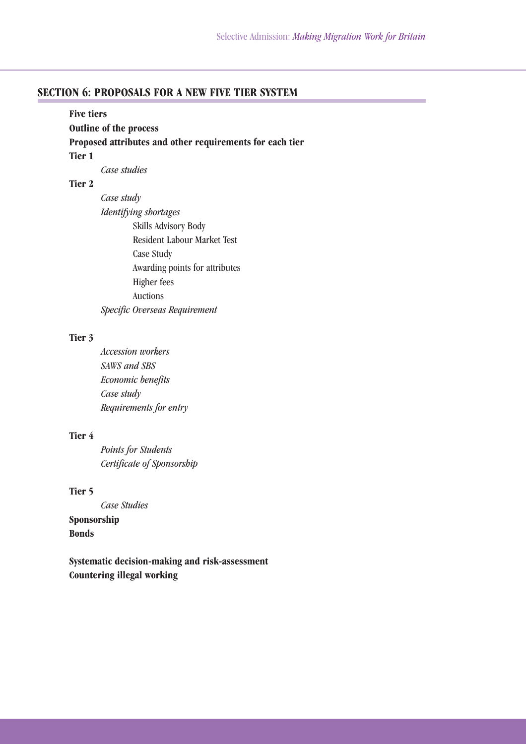# **SECTION 6: PROPOSALS FOR A NEW FIVE TIER SYSTEM**

| <b>Five tiers</b>             |                                                          |  |
|-------------------------------|----------------------------------------------------------|--|
| <b>Outline of the process</b> |                                                          |  |
|                               | Proposed attributes and other requirements for each tier |  |
| Tier 1                        |                                                          |  |
|                               | Case studies                                             |  |
| Tier 2                        |                                                          |  |
|                               | Case study                                               |  |

*Identifying shortages* Skills Advisory Body Resident Labour Market Test Case Study Awarding points for attributes Higher fees Auctions *Specific Overseas Requirement*

#### **Tier 3**

*Accession workers SAWS and SBS Economic benefits Case study Requirements for entry*

## **Tier 4**

*Points for Students Certificate of Sponsorship*

## **Tier 5**

*Case Studies* **Sponsorship Bonds**

**Systematic decision-making and risk-assessment Countering illegal working**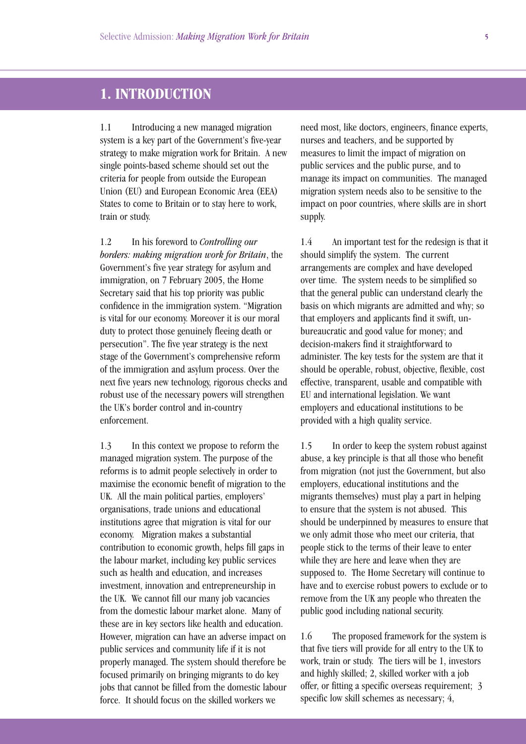# **1. INTRODUCTION**

1.1 Introducing a new managed migration system is a key part of the Government's five-year strategy to make migration work for Britain. A new single points-based scheme should set out the criteria for people from outside the European Union (EU) and European Economic Area (EEA) States to come to Britain or to stay here to work, train or study.

1.2 In his foreword to *Controlling our borders: making migration work for Britain*, the Government's five year strategy for asylum and immigration, on 7 February 2005, the Home Secretary said that his top priority was public confidence in the immigration system. "Migration is vital for our economy. Moreover it is our moral duty to protect those genuinely fleeing death or persecution". The five year strategy is the next stage of the Government's comprehensive reform of the immigration and asylum process. Over the next five years new technology, rigorous checks and robust use of the necessary powers will strengthen the UK's border control and in-country enforcement.

1.3 In this context we propose to reform the managed migration system. The purpose of the reforms is to admit people selectively in order to maximise the economic benefit of migration to the UK. All the main political parties, employers' organisations, trade unions and educational institutions agree that migration is vital for our economy. Migration makes a substantial contribution to economic growth, helps fill gaps in the labour market, including key public services such as health and education, and increases investment, innovation and entrepreneurship in the UK. We cannot fill our many job vacancies from the domestic labour market alone. Many of these are in key sectors like health and education. However, migration can have an adverse impact on public services and community life if it is not properly managed. The system should therefore be focused primarily on bringing migrants to do key jobs that cannot be filled from the domestic labour force. It should focus on the skilled workers we

need most, like doctors, engineers, finance experts, nurses and teachers, and be supported by measures to limit the impact of migration on public services and the public purse, and to manage its impact on communities. The managed migration system needs also to be sensitive to the impact on poor countries, where skills are in short supply.

1.4 An important test for the redesign is that it should simplify the system. The current arrangements are complex and have developed over time. The system needs to be simplified so that the general public can understand clearly the basis on which migrants are admitted and why; so that employers and applicants find it swift, unbureaucratic and good value for money; and decision-makers find it straightforward to administer. The key tests for the system are that it should be operable, robust, objective, flexible, cost effective, transparent, usable and compatible with EU and international legislation. We want employers and educational institutions to be provided with a high quality service.

1.5 In order to keep the system robust against abuse, a key principle is that all those who benefit from migration (not just the Government, but also employers, educational institutions and the migrants themselves) must play a part in helping to ensure that the system is not abused. This should be underpinned by measures to ensure that we only admit those who meet our criteria, that people stick to the terms of their leave to enter while they are here and leave when they are supposed to. The Home Secretary will continue to have and to exercise robust powers to exclude or to remove from the UK any people who threaten the public good including national security.

1.6 The proposed framework for the system is that five tiers will provide for all entry to the UK to work, train or study. The tiers will be 1, investors and highly skilled; 2, skilled worker with a job offer, or fitting a specific overseas requirement; 3 specific low skill schemes as necessary; 4,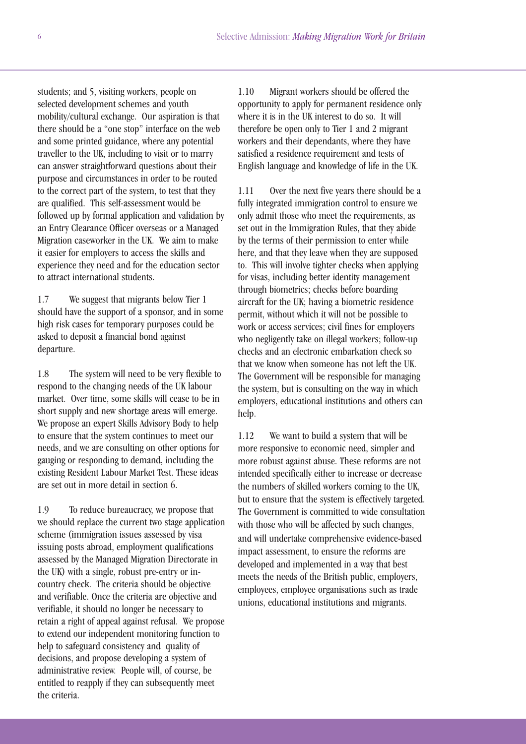students; and 5, visiting workers, people on selected development schemes and youth mobility/cultural exchange. Our aspiration is that there should be a "one stop" interface on the web and some printed guidance, where any potential traveller to the UK, including to visit or to marry can answer straightforward questions about their purpose and circumstances in order to be routed to the correct part of the system, to test that they are qualified. This self-assessment would be followed up by formal application and validation by an Entry Clearance Officer overseas or a Managed Migration caseworker in the UK. We aim to make it easier for employers to access the skills and experience they need and for the education sector to attract international students.

1.7 We suggest that migrants below Tier 1 should have the support of a sponsor, and in some high risk cases for temporary purposes could be asked to deposit a financial bond against departure.

1.8 The system will need to be very flexible to respond to the changing needs of the UK labour market. Over time, some skills will cease to be in short supply and new shortage areas will emerge. We propose an expert Skills Advisory Body to help to ensure that the system continues to meet our needs, and we are consulting on other options for gauging or responding to demand, including the existing Resident Labour Market Test. These ideas are set out in more detail in section 6.

1.9 To reduce bureaucracy, we propose that we should replace the current two stage application scheme (immigration issues assessed by visa issuing posts abroad, employment qualifications assessed by the Managed Migration Directorate in the UK) with a single, robust pre-entry or incountry check. The criteria should be objective and verifiable. Once the criteria are objective and verifiable, it should no longer be necessary to retain a right of appeal against refusal. We propose to extend our independent monitoring function to help to safeguard consistency and quality of decisions, and propose developing a system of administrative review. People will, of course, be entitled to reapply if they can subsequently meet the criteria.

1.10 Migrant workers should be offered the opportunity to apply for permanent residence only where it is in the UK interest to do so. It will therefore be open only to Tier 1 and 2 migrant workers and their dependants, where they have satisfied a residence requirement and tests of English language and knowledge of life in the UK.

1.11 Over the next five years there should be a fully integrated immigration control to ensure we only admit those who meet the requirements, as set out in the Immigration Rules, that they abide by the terms of their permission to enter while here, and that they leave when they are supposed to. This will involve tighter checks when applying for visas, including better identity management through biometrics; checks before boarding aircraft for the UK; having a biometric residence permit, without which it will not be possible to work or access services; civil fines for employers who negligently take on illegal workers; follow-up checks and an electronic embarkation check so that we know when someone has not left the UK. The Government will be responsible for managing the system, but is consulting on the way in which employers, educational institutions and others can help.

1.12 We want to build a system that will be more responsive to economic need, simpler and more robust against abuse. These reforms are not intended specifically either to increase or decrease the numbers of skilled workers coming to the UK, but to ensure that the system is effectively targeted. The Government is committed to wide consultation with those who will be affected by such changes, and will undertake comprehensive evidence-based impact assessment, to ensure the reforms are developed and implemented in a way that best meets the needs of the British public, employers, employees, employee organisations such as trade unions, educational institutions and migrants.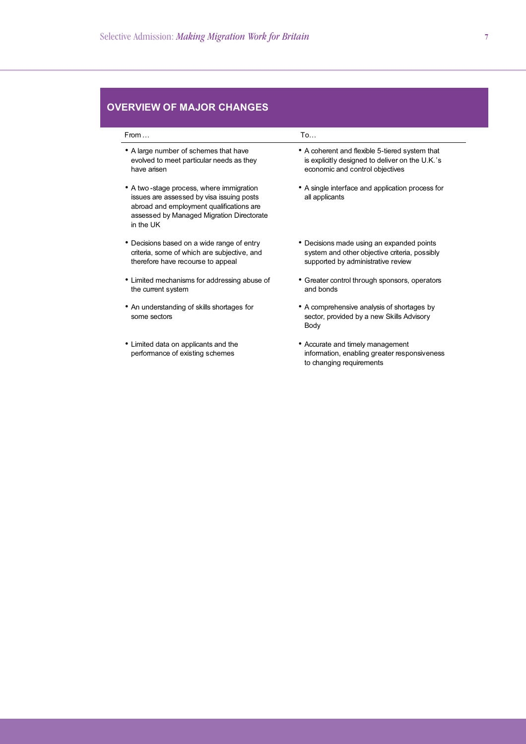# **OVERVIEW OF MAJOR CHANGES**

| From $\dots$                                                                                                                                                                                | To                                                                                                                                   |  |
|---------------------------------------------------------------------------------------------------------------------------------------------------------------------------------------------|--------------------------------------------------------------------------------------------------------------------------------------|--|
| • A large number of schemes that have<br>evolved to meet particular needs as they<br>have arisen                                                                                            | • A coherent and flexible 5-tiered system that<br>is explicitly designed to deliver on the U.K.'s<br>economic and control objectives |  |
| • A two-stage process, where immigration<br>issues are assessed by visa issuing posts<br>abroad and employment qualifications are<br>assessed by Managed Migration Directorate<br>in the UK | • A single interface and application process for<br>all applicants                                                                   |  |
| • Decisions based on a wide range of entry<br>criteria, some of which are subjective, and<br>therefore have recourse to appeal                                                              | • Decisions made using an expanded points<br>system and other objective criteria, possibly<br>supported by administrative review     |  |
| • Limited mechanisms for addressing abuse of<br>the current system                                                                                                                          | • Greater control through sponsors, operators<br>and bonds                                                                           |  |
| • An understanding of skills shortages for<br>some sectors                                                                                                                                  | • A comprehensive analysis of shortages by<br>sector, provided by a new Skills Advisory<br>Body                                      |  |
| • Limited data on applicants and the<br>performance of existing schemes                                                                                                                     | • Accurate and timely management<br>information, enabling greater responsiveness<br>to changing requirements                         |  |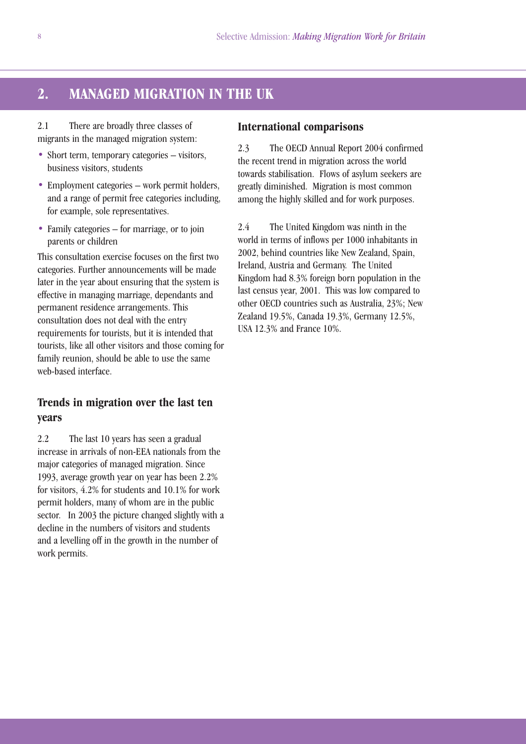# **2. MANAGED MIGRATION IN THE UK**

2.1 There are broadly three classes of migrants in the managed migration system:

- Short term, temporary categories visitors, business visitors, students
- Employment categories work permit holders, and a range of permit free categories including, for example, sole representatives.
- Family categories for marriage, or to join parents or children

This consultation exercise focuses on the first two categories. Further announcements will be made later in the year about ensuring that the system is effective in managing marriage, dependants and permanent residence arrangements. This consultation does not deal with the entry requirements for tourists, but it is intended that tourists, like all other visitors and those coming for family reunion, should be able to use the same web-based interface.

# **Trends in migration over the last ten years**

2.2 The last 10 years has seen a gradual increase in arrivals of non-EEA nationals from the major categories of managed migration. Since 1993, average growth year on year has been 2.2% for visitors, 4.2% for students and 10.1% for work permit holders, many of whom are in the public sector. In 2003 the picture changed slightly with a decline in the numbers of visitors and students and a levelling off in the growth in the number of work permits.

#### **International comparisons**

2.3 The OECD Annual Report 2004 confirmed the recent trend in migration across the world towards stabilisation. Flows of asylum seekers are greatly diminished. Migration is most common among the highly skilled and for work purposes.

2.4 The United Kingdom was ninth in the world in terms of inflows per 1000 inhabitants in 2002, behind countries like New Zealand, Spain, Ireland, Austria and Germany. The United Kingdom had 8.3% foreign born population in the last census year, 2001. This was low compared to other OECD countries such as Australia, 23%; New Zealand 19.5%, Canada 19.3%, Germany 12.5%, USA 12.3% and France 10%.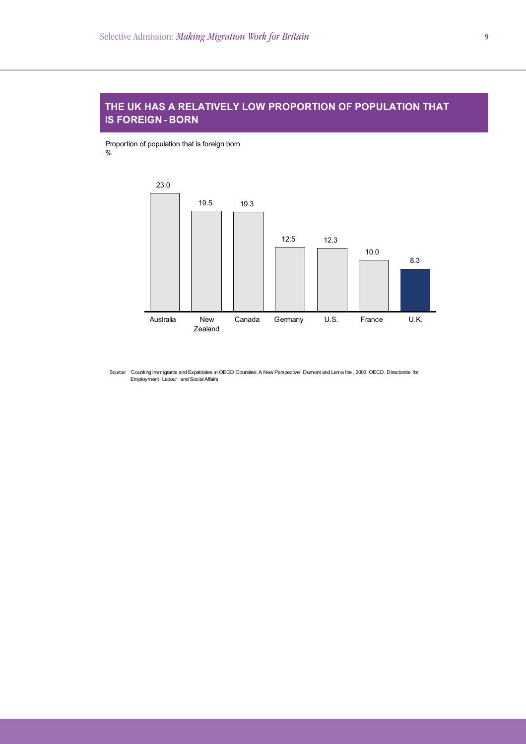## **THE UK HAS A RELATIVELY LOW PROPORTION OF POPULATION THAT IS FOREIGN-BORN**

Proportion of population that is foreign born %



Source: 'Counting Immigrants and Expatriates in OECD Countries: A New Perspective', Dumont and Lema ître , 2003, OECD, Directorate for<br>Employment Labour and Social Affairs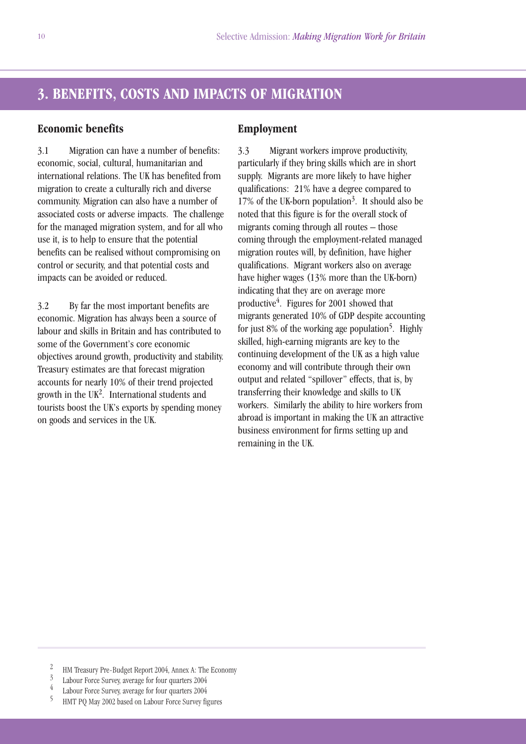# **3. BENEFITS, COSTS AND IMPACTS OF MIGRATION**

## **Economic benefits**

3.1 Migration can have a number of benefits: economic, social, cultural, humanitarian and international relations. The UK has benefited from migration to create a culturally rich and diverse community. Migration can also have a number of associated costs or adverse impacts. The challenge for the managed migration system, and for all who use it, is to help to ensure that the potential benefits can be realised without compromising on control or security, and that potential costs and impacts can be avoided or reduced.

3.2 By far the most important benefits are economic. Migration has always been a source of labour and skills in Britain and has contributed to some of the Government's core economic objectives around growth, productivity and stability. Treasury estimates are that forecast migration accounts for nearly 10% of their trend projected growth in the UK<sup>2</sup>. International students and tourists boost the UK's exports by spending money on goods and services in the UK.

#### **Employment**

3.3 Migrant workers improve productivity, particularly if they bring skills which are in short supply. Migrants are more likely to have higher qualifications: 21% have a degree compared to 17% of the UK-born population<sup>3</sup>. It should also be noted that this figure is for the overall stock of migrants coming through all routes – those coming through the employment-related managed migration routes will, by definition, have higher qualifications. Migrant workers also on average have higher wages (13% more than the UK-born) indicating that they are on average more productive<sup>4</sup>. Figures for 2001 showed that migrants generated 10% of GDP despite accounting for just 8% of the working age population<sup>5</sup>. Highly skilled, high-earning migrants are key to the continuing development of the UK as a high value economy and will contribute through their own output and related "spillover" effects, that is, by transferring their knowledge and skills to UK workers. Similarly the ability to hire workers from abroad is important in making the UK an attractive business environment for firms setting up and remaining in the UK.

- <sup>2</sup> HM Treasury Pre-Budget Report 2004, Annex A: The Economy
- <sup>3</sup> Labour Force Survey, average for four quarters 2004<br>  $\frac{4}{5}$  Labour Force Survey, average for four quarters 2004<br>  $\frac{5}{5}$  HMT PO May 2002 based on Labour Force Survey for
- 
- <sup>5</sup> HMT PQ May 2002 based on Labour Force Survey figures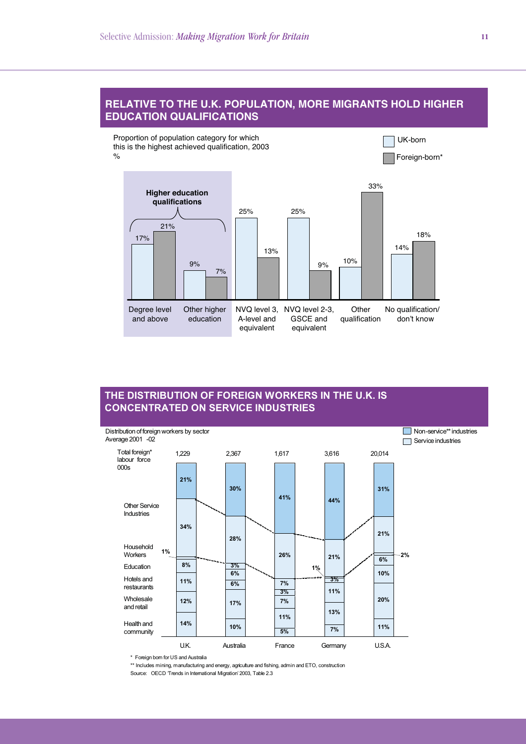#### **RELATIVE TO THE U.K. POPULATION, MORE MIGRANTS HOLD HIGHER EDUCATION QUALIFICATIONS**

Proportion of population category for which this is the highest achieved qualification, 2003 %



## **THE DISTRIBUTION OF FOREIGN WORKERS IN THE U.K. IS CONCENTRATED ON SERVICE INDUSTRIES**



\* Foreign born for US and Australia

\*\* Includes mining, manufacturing and energy, agriculture and fishing, admin and ETO, construction Source: OECD Trends in International Migration' 2003, Table 2.3

UK-born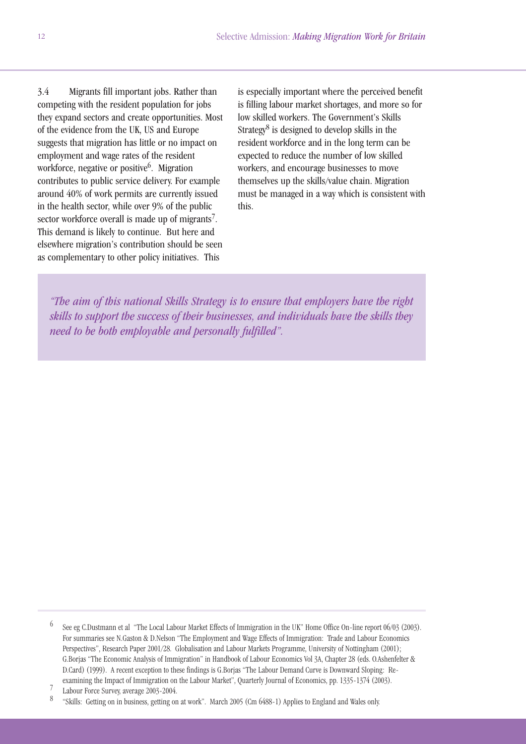3.4 Migrants fill important jobs. Rather than competing with the resident population for jobs they expand sectors and create opportunities. Most of the evidence from the UK, US and Europe suggests that migration has little or no impact on employment and wage rates of the resident workforce, negative or positive<sup>6</sup>. Migration contributes to public service delivery. For example around 40% of work permits are currently issued in the health sector, while over 9% of the public sector workforce overall is made up of migrants<sup>7</sup>. This demand is likely to continue. But here and elsewhere migration's contribution should be seen as complementary to other policy initiatives. This

is especially important where the perceived benefit is filling labour market shortages, and more so for low skilled workers. The Government's Skills Strategy8 is designed to develop skills in the resident workforce and in the long term can be expected to reduce the number of low skilled workers, and encourage businesses to move themselves up the skills/value chain. Migration must be managed in a way which is consistent with this.

*"The aim of this national Skills Strategy is to ensure that employers have the right skills to support the success of their businesses, and individuals have the skills they need to be both employable and personally fulfilled".*

 $\frac{7}{8}$  Labour Force Survey, average 2003-2004.

<sup>6</sup> See eg C.Dustmann et al "The Local Labour Market Effects of Immigration in the UK" Home Office On-line report 06/03 (2003). For summaries see N.Gaston & D.Nelson "The Employment and Wage Effects of Immigration: Trade and Labour Economics Perspectives", Research Paper 2001/28. Globalisation and Labour Markets Programme, University of Nottingham (2001); G.Borjas "The Economic Analysis of Immigration" in Handbook of Labour Economics Vol 3A, Chapter 28 (eds. O.Ashenfelter & D.Card) (1999). A recent exception to these findings is G.Borjas "The Labour Demand Curve is Downward Sloping: Reexamining the Impact of Immigration on the Labour Market", Quarterly Journal of Economics, pp. 1335-1374 (2003).

<sup>8</sup> "Skills: Getting on in business, getting on at work". March 2005 (Cm 6488-1) Applies to England and Wales only.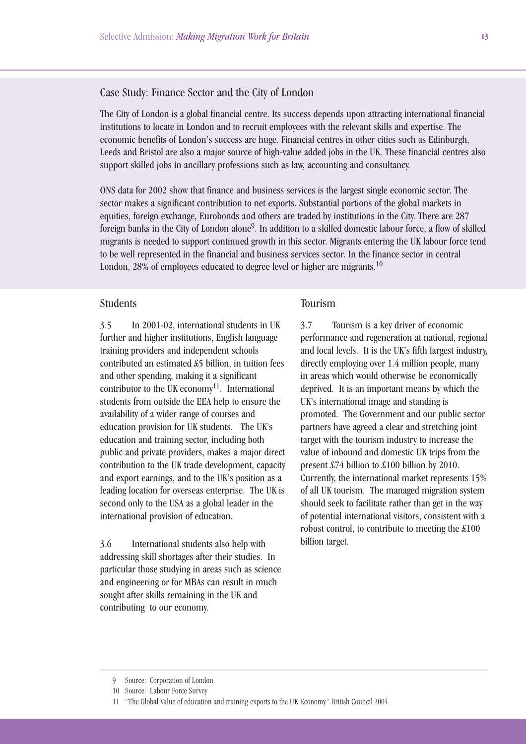## Case Study: Finance Sector and the City of London

The City of London is a global financial centre. Its success depends upon attracting international financial institutions to locate in London and to recruit employees with the relevant skills and expertise. The economic benefits of London's success are huge. Financial centres in other cities such as Edinburgh, Leeds and Bristol are also a major source of high-value added jobs in the UK. These financial centres also support skilled jobs in ancillary professions such as law, accounting and consultancy.

ONS data for 2002 show that finance and business services is the largest single economic sector. The sector makes a significant contribution to net exports. Substantial portions of the global markets in equities, foreign exchange, Eurobonds and others are traded by institutions in the City. There are 287 foreign banks in the City of London alone<sup>9</sup>. In addition to a skilled domestic labour force, a flow of skilled migrants is needed to support continued growth in this sector. Migrants entering the UK labour force tend to be well represented in the financial and business services sector. In the finance sector in central London,  $28\%$  of employees educated to degree level or higher are migrants.<sup>10</sup>

#### Students

3.5 In 2001-02, international students in UK further and higher institutions, English language training providers and independent schools contributed an estimated £5 billion, in tuition fees and other spending, making it a significant contributor to the UK economy<sup>11</sup>. International students from outside the EEA help to ensure the availability of a wider range of courses and education provision for UK students. The UK's education and training sector, including both public and private providers, makes a major direct contribution to the UK trade development, capacity and export earnings, and to the UK's position as a leading location for overseas enterprise. The UK is second only to the USA as a global leader in the international provision of education.

3.6 International students also help with addressing skill shortages after their studies. In particular those studying in areas such as science and engineering or for MBAs can result in much sought after skills remaining in the UK and contributing to our economy.

#### Tourism

3.7 Tourism is a key driver of economic performance and regeneration at national, regional and local levels. It is the UK's fifth largest industry, directly employing over 1.4 million people, many in areas which would otherwise be economically deprived. It is an important means by which the UK's international image and standing is promoted. The Government and our public sector partners have agreed a clear and stretching joint target with the tourism industry to increase the value of inbound and domestic UK trips from the present £74 billion to £100 billion by 2010. Currently, the international market represents 15% of all UK tourism. The managed migration system should seek to facilitate rather than get in the way of potential international visitors, consistent with a robust control, to contribute to meeting the £100 billion target.

<sup>9</sup> Source: Corporation of London

<sup>10</sup> Source: Labour Force Survey

<sup>11 &</sup>quot;The Global Value of education and training exports to the UK Economy" British Council 2004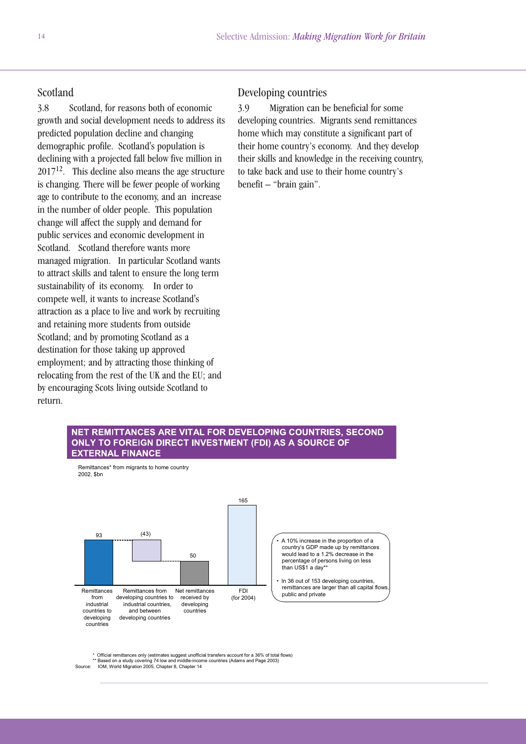## Scotland

3.8 Scotland, for reasons both of economic growth and social development needs to address its predicted population decline and changing demographic profile. Scotland's population is declining with a projected fall below five million in  $2017^{12}$ . This decline also means the age structure is changing. There will be fewer people of working age to contribute to the economy, and an increase in the number of older people. This population change will affect the supply and demand for public services and economic development in Scotland. Scotland therefore wants more managed migration. In particular Scotland wants to attract skills and talent to ensure the long term sustainability of its economy. In order to compete well, it wants to increase Scotland's attraction as a place to live and work by recruiting and retaining more students from outside Scotland; and by promoting Scotland as a destination for those taking up approved employment; and by attracting those thinking of relocating from the rest of the UK and the EU; and by encouraging Scots living outside Scotland to return.

#### Developing countries

3.9 Migration can be beneficial for some developing countries. Migrants send remittances home which may constitute a significant part of their home country's economy. And they develop their skills and knowledge in the receiving country, to take back and use to their home country's benefit – "brain gain".

#### NET REMITTANCES ARE VITAL FOR DEVELOPING COUNTRIES. SECOND ONLY TO FOREIGN DIRECT INVESTMENT (FDI) AS A SOURCE OF **EXTERNAL FINANCE**



Official remittances only (estimates suggest unofficial transfers account for a 36% of total flows)

\*\* Based on a study covering 74 low and middle-income countries (Adams and Page 2003) Source: IOM, World Migration 2005, Chapter 8, Chapter 14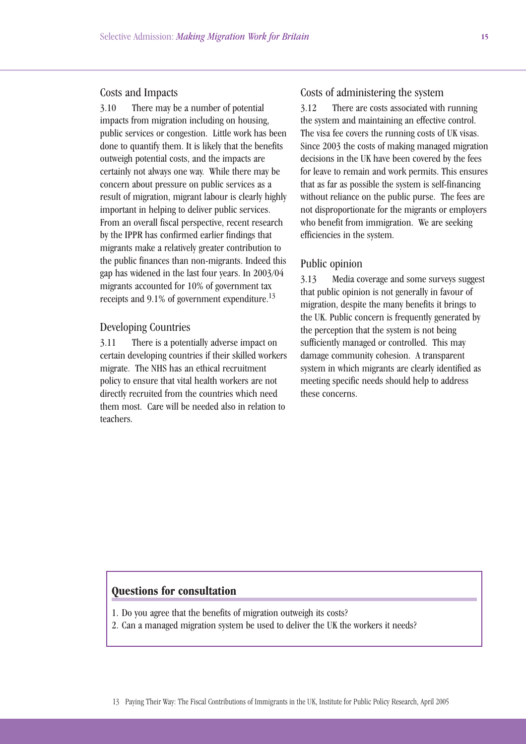#### Costs and Impacts

3.10 There may be a number of potential impacts from migration including on housing, public services or congestion. Little work has been done to quantify them. It is likely that the benefits outweigh potential costs, and the impacts are certainly not always one way. While there may be concern about pressure on public services as a result of migration, migrant labour is clearly highly important in helping to deliver public services. From an overall fiscal perspective, recent research by the IPPR has confirmed earlier findings that migrants make a relatively greater contribution to the public finances than non-migrants. Indeed this gap has widened in the last four years. In 2003/04 migrants accounted for 10% of government tax receipts and 9.1% of government expenditure.<sup>13</sup>

#### Developing Countries

3.11 There is a potentially adverse impact on certain developing countries if their skilled workers migrate. The NHS has an ethical recruitment policy to ensure that vital health workers are not directly recruited from the countries which need them most. Care will be needed also in relation to teachers.

### Costs of administering the system

3.12 There are costs associated with running the system and maintaining an effective control. The visa fee covers the running costs of UK visas. Since 2003 the costs of making managed migration decisions in the UK have been covered by the fees for leave to remain and work permits. This ensures that as far as possible the system is self-financing without reliance on the public purse. The fees are not disproportionate for the migrants or employers who benefit from immigration. We are seeking efficiencies in the system.

#### Public opinion

3.13 Media coverage and some surveys suggest that public opinion is not generally in favour of migration, despite the many benefits it brings to the UK. Public concern is frequently generated by the perception that the system is not being sufficiently managed or controlled. This may damage community cohesion. A transparent system in which migrants are clearly identified as meeting specific needs should help to address these concerns.

- 1. Do you agree that the benefits of migration outweigh its costs?
- 2. Can a managed migration system be used to deliver the UK the workers it needs?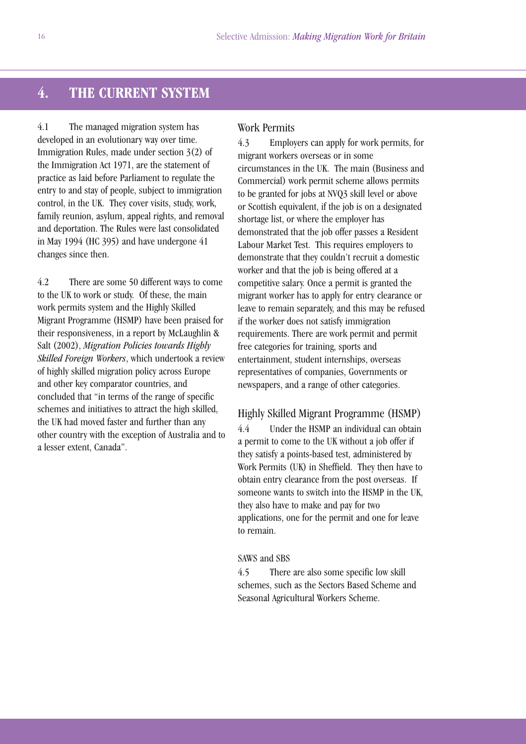# **4. THE CURRENT SYSTEM**

4.1 The managed migration system has developed in an evolutionary way over time. Immigration Rules, made under section 3(2) of the Immigration Act 1971, are the statement of practice as laid before Parliament to regulate the entry to and stay of people, subject to immigration control, in the UK. They cover visits, study, work, family reunion, asylum, appeal rights, and removal and deportation. The Rules were last consolidated in May 1994 (HC 395) and have undergone 41 changes since then.

4.2 There are some 50 different ways to come to the UK to work or study. Of these, the main work permits system and the Highly Skilled Migrant Programme (HSMP) have been praised for their responsiveness, in a report by McLaughlin & Salt (2002), *Migration Policies towards Highly Skilled Foreign Workers*, which undertook a review of highly skilled migration policy across Europe and other key comparator countries, and concluded that "in terms of the range of specific schemes and initiatives to attract the high skilled, the UK had moved faster and further than any other country with the exception of Australia and to a lesser extent, Canada".

#### Work Permits

4.3 Employers can apply for work permits, for migrant workers overseas or in some circumstances in the UK. The main (Business and Commercial) work permit scheme allows permits to be granted for jobs at NVQ3 skill level or above or Scottish equivalent, if the job is on a designated shortage list, or where the employer has demonstrated that the job offer passes a Resident Labour Market Test. This requires employers to demonstrate that they couldn't recruit a domestic worker and that the job is being offered at a competitive salary. Once a permit is granted the migrant worker has to apply for entry clearance or leave to remain separately, and this may be refused if the worker does not satisfy immigration requirements. There are work permit and permit free categories for training, sports and entertainment, student internships, overseas representatives of companies, Governments or newspapers, and a range of other categories.

#### Highly Skilled Migrant Programme (HSMP)

4.4 Under the HSMP an individual can obtain a permit to come to the UK without a job offer if they satisfy a points-based test, administered by Work Permits (UK) in Sheffield. They then have to obtain entry clearance from the post overseas. If someone wants to switch into the HSMP in the UK, they also have to make and pay for two applications, one for the permit and one for leave to remain.

#### SAWS and SBS

4.5 There are also some specific low skill schemes, such as the Sectors Based Scheme and Seasonal Agricultural Workers Scheme.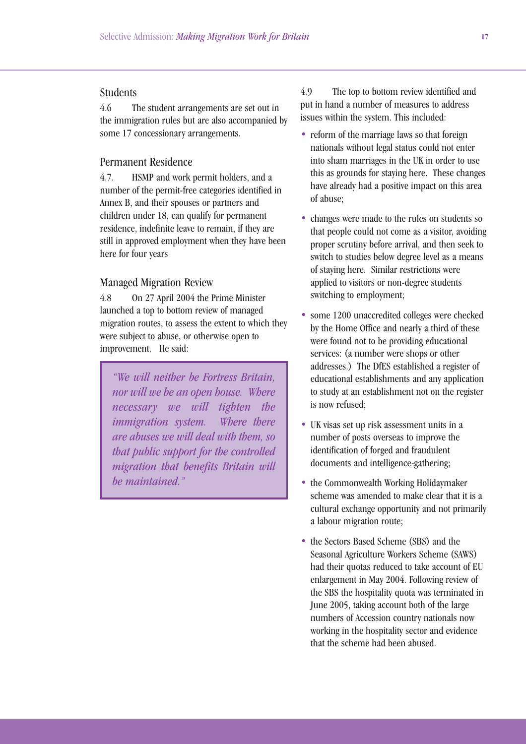## Students

4.6 The student arrangements are set out in the immigration rules but are also accompanied by some 17 concessionary arrangements.

### Permanent Residence

4.7. HSMP and work permit holders, and a number of the permit-free categories identified in Annex B, and their spouses or partners and children under 18, can qualify for permanent residence, indefinite leave to remain, if they are still in approved employment when they have been here for four years

#### Managed Migration Review

4.8 On 27 April 2004 the Prime Minister launched a top to bottom review of managed migration routes, to assess the extent to which they were subject to abuse, or otherwise open to improvement. He said:

*"We will neither be Fortress Britain, nor will we be an open house. Where necessary we will tighten the immigration system. Where there are abuses we will deal with them, so that public support for the controlled migration that benefits Britain will be maintained."*

4.9 The top to bottom review identified and put in hand a number of measures to address issues within the system. This included:

- reform of the marriage laws so that foreign nationals without legal status could not enter into sham marriages in the UK in order to use this as grounds for staying here. These changes have already had a positive impact on this area of abuse;
- changes were made to the rules on students so that people could not come as a visitor, avoiding proper scrutiny before arrival, and then seek to switch to studies below degree level as a means of staying here. Similar restrictions were applied to visitors or non-degree students switching to employment;
- some 1200 unaccredited colleges were checked by the Home Office and nearly a third of these were found not to be providing educational services: (a number were shops or other addresses.) The DfES established a register of educational establishments and any application to study at an establishment not on the register is now refused;
- UK visas set up risk assessment units in a number of posts overseas to improve the identification of forged and fraudulent documents and intelligence-gathering;
- the Commonwealth Working Holidaymaker scheme was amended to make clear that it is a cultural exchange opportunity and not primarily a labour migration route;
- the Sectors Based Scheme (SBS) and the Seasonal Agriculture Workers Scheme (SAWS) had their quotas reduced to take account of EU enlargement in May 2004. Following review of the SBS the hospitality quota was terminated in June 2005, taking account both of the large numbers of Accession country nationals now working in the hospitality sector and evidence that the scheme had been abused.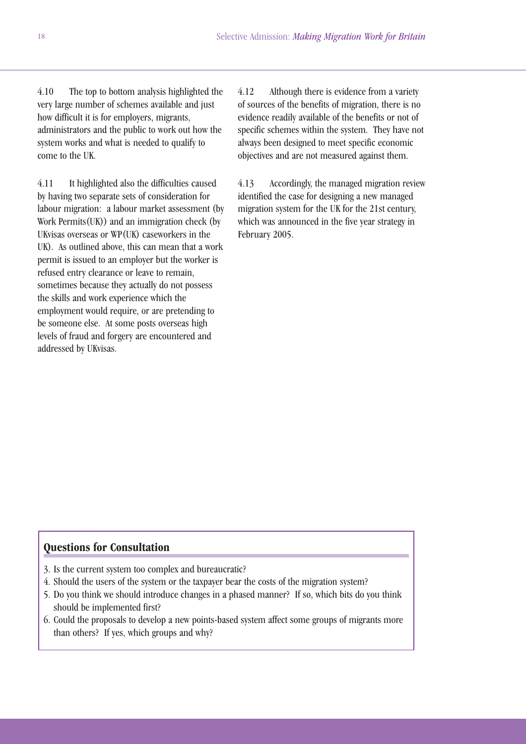4.10 The top to bottom analysis highlighted the very large number of schemes available and just how difficult it is for employers, migrants, administrators and the public to work out how the system works and what is needed to qualify to come to the UK.

4.11 It highlighted also the difficulties caused by having two separate sets of consideration for labour migration: a labour market assessment (by Work Permits(UK)) and an immigration check (by UKvisas overseas or WP(UK) caseworkers in the UK). As outlined above, this can mean that a work permit is issued to an employer but the worker is refused entry clearance or leave to remain, sometimes because they actually do not possess the skills and work experience which the employment would require, or are pretending to be someone else. At some posts overseas high levels of fraud and forgery are encountered and addressed by UKvisas.

4.12 Although there is evidence from a variety of sources of the benefits of migration, there is no evidence readily available of the benefits or not of specific schemes within the system. They have not always been designed to meet specific economic objectives and are not measured against them.

4.13 Accordingly, the managed migration review identified the case for designing a new managed migration system for the UK for the 21st century, which was announced in the five year strategy in February 2005.

- 3. Is the current system too complex and bureaucratic?
- 4. Should the users of the system or the taxpayer bear the costs of the migration system?
- 5. Do you think we should introduce changes in a phased manner? If so, which bits do you think should be implemented first?
- 6. Could the proposals to develop a new points-based system affect some groups of migrants more than others? If yes, which groups and why?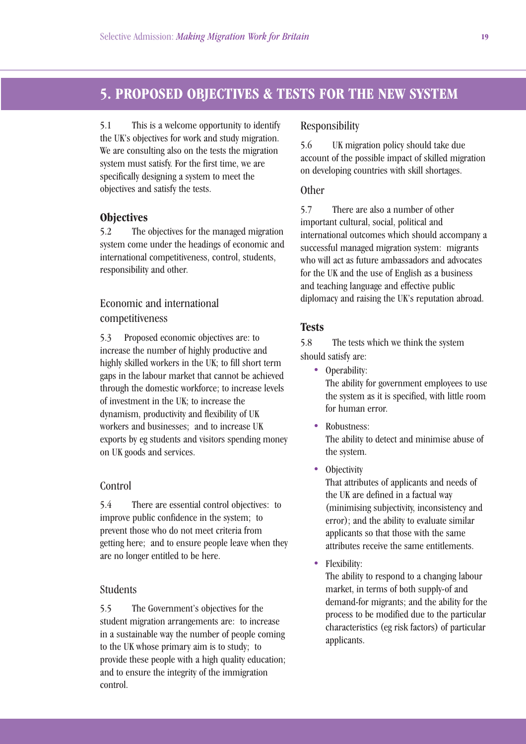# **5. PROPOSED OBJECTIVES & TESTS FOR THE NEW SYSTEM**

5.1 This is a welcome opportunity to identify the UK's objectives for work and study migration. We are consulting also on the tests the migration system must satisfy. For the first time, we are specifically designing a system to meet the objectives and satisfy the tests.

## **Objectives**

5.2 The objectives for the managed migration system come under the headings of economic and international competitiveness, control, students, responsibility and other.

# Economic and international competitiveness

5.3 Proposed economic objectives are: to increase the number of highly productive and highly skilled workers in the UK; to fill short term gaps in the labour market that cannot be achieved through the domestic workforce; to increase levels of investment in the UK; to increase the dynamism, productivity and flexibility of UK workers and businesses; and to increase UK exports by eg students and visitors spending money on UK goods and services.

### **Control**

5.4 There are essential control objectives: to improve public confidence in the system; to prevent those who do not meet criteria from getting here; and to ensure people leave when they are no longer entitled to be here.

## Students

5.5 The Government's objectives for the student migration arrangements are: to increase in a sustainable way the number of people coming to the UK whose primary aim is to study; to provide these people with a high quality education; and to ensure the integrity of the immigration control.

### Responsibility

5.6 UK migration policy should take due account of the possible impact of skilled migration on developing countries with skill shortages.

## **Other**

5.7 There are also a number of other important cultural, social, political and international outcomes which should accompany a successful managed migration system: migrants who will act as future ambassadors and advocates for the UK and the use of English as a business and teaching language and effective public diplomacy and raising the UK's reputation abroad.

## **Tests**

5.8 The tests which we think the system should satisfy are:

• Operability: The ability for government employees to use the system as it is specified, with little room for human error.

- Robustness: The ability to detect and minimise abuse of the system.
- **Objectivity**

That attributes of applicants and needs of the UK are defined in a factual way (minimising subjectivity, inconsistency and error); and the ability to evaluate similar applicants so that those with the same attributes receive the same entitlements.

• Flexibility:

The ability to respond to a changing labour market, in terms of both supply-of and demand-for migrants; and the ability for the process to be modified due to the particular characteristics (eg risk factors) of particular applicants.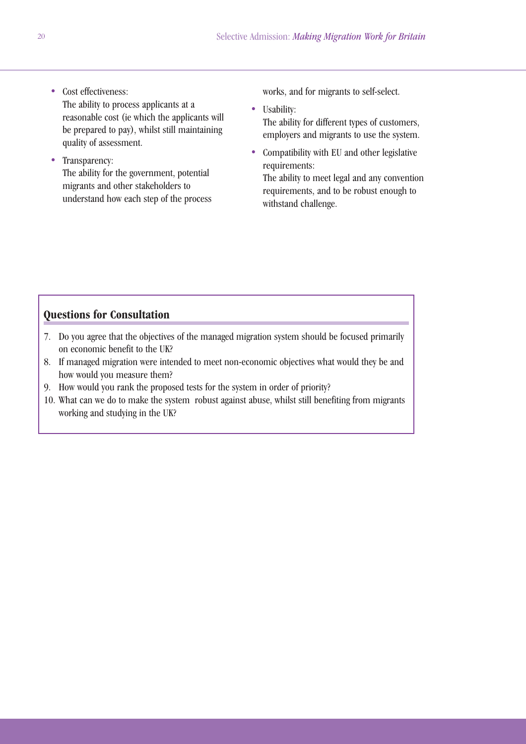- Cost effectiveness: The ability to process applicants at a reasonable cost (ie which the applicants will be prepared to pay), whilst still maintaining quality of assessment.
- Transparency: The ability for the government, potential migrants and other stakeholders to understand how each step of the process

works, and for migrants to self-select.

- Usability: The ability for different types of customers, employers and migrants to use the system.
- Compatibility with EU and other legislative requirements:

The ability to meet legal and any convention requirements, and to be robust enough to withstand challenge.

- 7. Do you agree that the objectives of the managed migration system should be focused primarily on economic benefit to the UK?
- 8. If managed migration were intended to meet non-economic objectives what would they be and how would you measure them?
- 9. How would you rank the proposed tests for the system in order of priority?
- 10. What can we do to make the system robust against abuse, whilst still benefiting from migrants working and studying in the UK?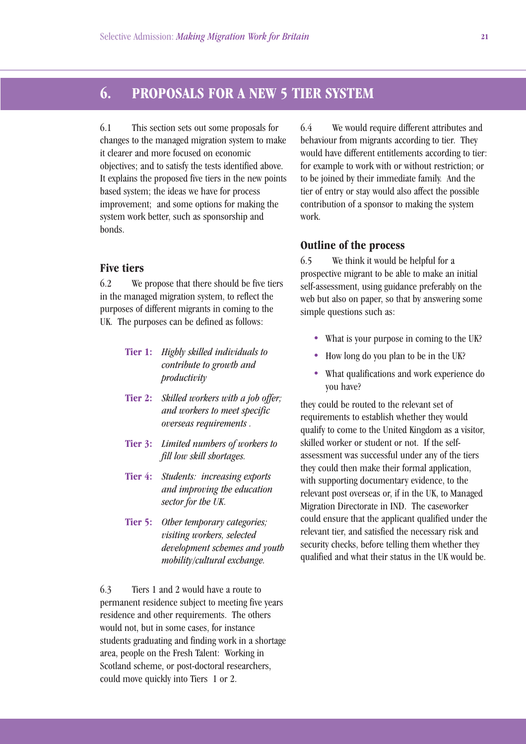# **6. PROPOSALS FOR A NEW 5 TIER SYSTEM**

6.1 This section sets out some proposals for changes to the managed migration system to make it clearer and more focused on economic objectives; and to satisfy the tests identified above. It explains the proposed five tiers in the new points based system; the ideas we have for process improvement; and some options for making the system work better, such as sponsorship and bonds.

### **Five tiers**

6.2 We propose that there should be five tiers in the managed migration system, to reflect the purposes of different migrants in coming to the UK. The purposes can be defined as follows:

- **Tier 1:** *Highly skilled individuals to contribute to growth and productivity*
- **Tier 2:** *Skilled workers with a job offer; and workers to meet specific overseas requirements .*
- **Tier 3:** *Limited numbers of workers to fill low skill shortages.*
- **Tier 4:** *Students: increasing exports and improving the education sector for the UK.*
- **Tier 5:** *Other temporary categories; visiting workers, selected development schemes and youth mobility/cultural exchange.*

6.3 Tiers 1 and 2 would have a route to permanent residence subject to meeting five years residence and other requirements. The others would not, but in some cases, for instance students graduating and finding work in a shortage area, people on the Fresh Talent: Working in Scotland scheme, or post-doctoral researchers, could move quickly into Tiers 1 or 2.

6.4 We would require different attributes and behaviour from migrants according to tier. They would have different entitlements according to tier: for example to work with or without restriction; or to be joined by their immediate family. And the tier of entry or stay would also affect the possible contribution of a sponsor to making the system work.

#### **Outline of the process**

6.5 We think it would be helpful for a prospective migrant to be able to make an initial self-assessment, using guidance preferably on the web but also on paper, so that by answering some simple questions such as:

- What is your purpose in coming to the UK?
- How long do you plan to be in the UK?
- What qualifications and work experience do you have?

they could be routed to the relevant set of requirements to establish whether they would qualify to come to the United Kingdom as a visitor, skilled worker or student or not. If the selfassessment was successful under any of the tiers they could then make their formal application, with supporting documentary evidence, to the relevant post overseas or, if in the UK, to Managed Migration Directorate in IND. The caseworker could ensure that the applicant qualified under the relevant tier, and satisfied the necessary risk and security checks, before telling them whether they qualified and what their status in the UK would be.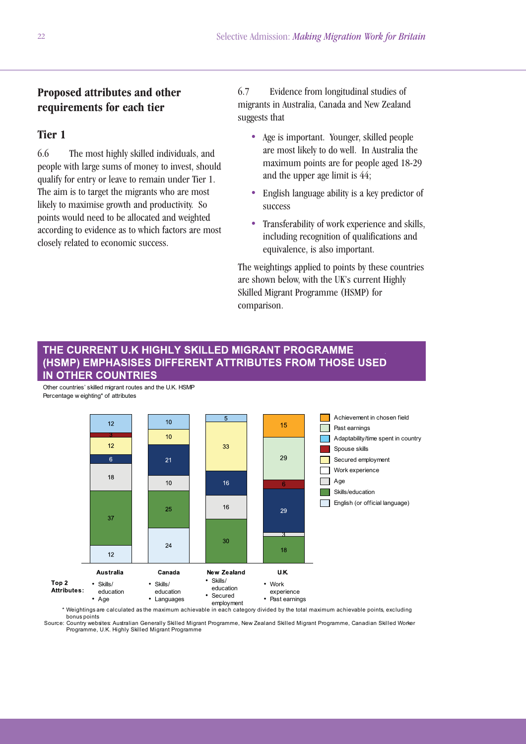# **Proposed attributes and other requirements for each tier**

## **Tier 1**

6.6 The most highly skilled individuals, and people with large sums of money to invest, should qualify for entry or leave to remain under Tier 1. The aim is to target the migrants who are most likely to maximise growth and productivity. So points would need to be allocated and weighted according to evidence as to which factors are most closely related to economic success.

6.7 Evidence from longitudinal studies of migrants in Australia, Canada and New Zealand suggests that

- Age is important. Younger, skilled people are most likely to do well. In Australia the maximum points are for people aged 18-29 and the upper age limit is 44;
- English language ability is a key predictor of success
- Transferability of work experience and skills, including recognition of qualifications and equivalence, is also important.

The weightings applied to points by these countries are shown below, with the UK's current Highly Skilled Migrant Programme (HSMP) for comparison.

## THE CURRENT U.K HIGHLY SKILLED MIGRANT PROGRAMME (HSMP) EMPHASISES DIFFERENT ATTRIBUTES FROM THOSE USED **IN OTHER COUNTRIES**

Other countries' skilled migrant routes and the U.K. HSMP Percentage w eighting\* of attributes



\* Weightings are calculated as the maximum achievable in each category divided by the total maximum achievable points, excluding bonus points

Source: Country websites: Australian Generally Skilled Migrant Programme, New Zealand Skilled Migrant Programme, Canadian Skilled Worker Programme, U.K. Highly Skilled Migrant Programme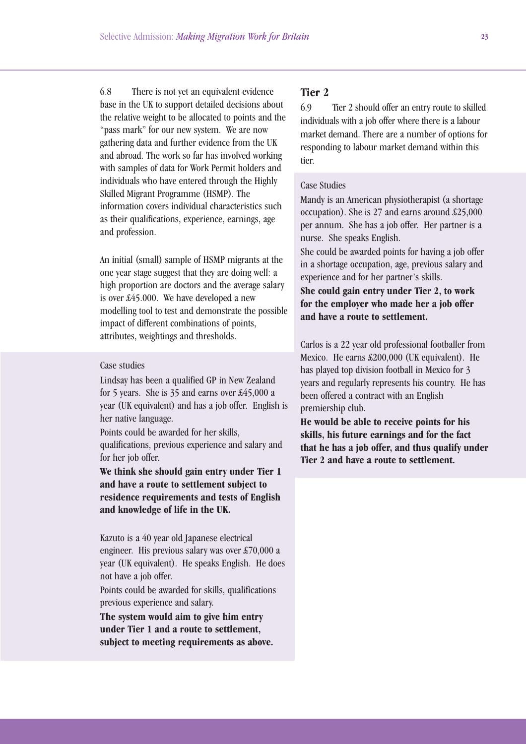6.8 There is not yet an equivalent evidence base in the UK to support detailed decisions about the relative weight to be allocated to points and the "pass mark" for our new system. We are now gathering data and further evidence from the UK and abroad. The work so far has involved working with samples of data for Work Permit holders and individuals who have entered through the Highly Skilled Migrant Programme (HSMP). The information covers individual characteristics such as their qualifications, experience, earnings, age and profession.

An initial (small) sample of HSMP migrants at the one year stage suggest that they are doing well: a high proportion are doctors and the average salary is over £45.000. We have developed a new modelling tool to test and demonstrate the possible impact of different combinations of points, attributes, weightings and thresholds.

#### Case studies

Lindsay has been a qualified GP in New Zealand for 5 years. She is 35 and earns over £45,000 a year (UK equivalent) and has a job offer. English is her native language.

Points could be awarded for her skills, qualifications, previous experience and salary and for her job offer.

**We think she should gain entry under Tier 1 and have a route to settlement subject to residence requirements and tests of English and knowledge of life in the UK.**

Kazuto is a 40 year old Japanese electrical engineer. His previous salary was over £70,000 a year (UK equivalent). He speaks English. He does not have a job offer.

Points could be awarded for skills, qualifications previous experience and salary.

**The system would aim to give him entry under Tier 1 and a route to settlement, subject to meeting requirements as above.**

# **Tier 2**

6.9 Tier 2 should offer an entry route to skilled individuals with a job offer where there is a labour market demand. There are a number of options for responding to labour market demand within this tier.

#### Case Studies

Mandy is an American physiotherapist (a shortage occupation). She is 27 and earns around £25,000 per annum. She has a job offer. Her partner is a nurse. She speaks English.

She could be awarded points for having a job offer in a shortage occupation, age, previous salary and experience and for her partner's skills.

## **She could gain entry under Tier 2, to work for the employer who made her a job offer and have a route to settlement.**

Carlos is a 22 year old professional footballer from Mexico. He earns £200,000 (UK equivalent). He has played top division football in Mexico for 3 years and regularly represents his country. He has been offered a contract with an English premiership club.

**He would be able to receive points for his skills, his future earnings and for the fact that he has a job offer, and thus qualify under Tier 2 and have a route to settlement.**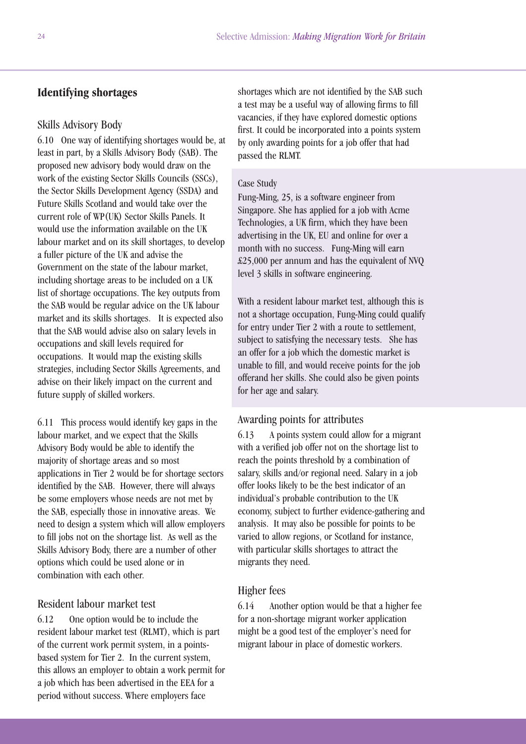# **Identifying shortages**

#### Skills Advisory Body

6.10 One way of identifying shortages would be, at least in part, by a Skills Advisory Body (SAB). The proposed new advisory body would draw on the work of the existing Sector Skills Councils (SSCs), the Sector Skills Development Agency (SSDA) and Future Skills Scotland and would take over the current role of WP(UK) Sector Skills Panels. It would use the information available on the UK labour market and on its skill shortages, to develop a fuller picture of the UK and advise the Government on the state of the labour market, including shortage areas to be included on a UK list of shortage occupations. The key outputs from the SAB would be regular advice on the UK labour market and its skills shortages. It is expected also that the SAB would advise also on salary levels in occupations and skill levels required for occupations. It would map the existing skills strategies, including Sector Skills Agreements, and advise on their likely impact on the current and future supply of skilled workers.

6.11 This process would identify key gaps in the labour market, and we expect that the Skills Advisory Body would be able to identify the majority of shortage areas and so most applications in Tier 2 would be for shortage sectors identified by the SAB. However, there will always be some employers whose needs are not met by the SAB, especially those in innovative areas. We need to design a system which will allow employers to fill jobs not on the shortage list. As well as the Skills Advisory Body, there are a number of other options which could be used alone or in combination with each other.

#### Resident labour market test

6.12 One option would be to include the resident labour market test (RLMT), which is part of the current work permit system, in a pointsbased system for Tier 2. In the current system, this allows an employer to obtain a work permit for a job which has been advertised in the EEA for a period without success. Where employers face

shortages which are not identified by the SAB such a test may be a useful way of allowing firms to fill vacancies, if they have explored domestic options first. It could be incorporated into a points system by only awarding points for a job offer that had passed the RLMT.

#### Case Study

Fung-Ming, 25, is a software engineer from Singapore. She has applied for a job with Acme Technologies, a UK firm, which they have been advertising in the UK, EU and online for over a month with no success. Fung-Ming will earn £25,000 per annum and has the equivalent of NVQ level 3 skills in software engineering.

With a resident labour market test, although this is not a shortage occupation, Fung-Ming could qualify for entry under Tier 2 with a route to settlement, subject to satisfying the necessary tests. She has an offer for a job which the domestic market is unable to fill, and would receive points for the job offerand her skills. She could also be given points for her age and salary.

#### Awarding points for attributes

6.13 A points system could allow for a migrant with a verified job offer not on the shortage list to reach the points threshold by a combination of salary, skills and/or regional need. Salary in a job offer looks likely to be the best indicator of an individual's probable contribution to the UK economy, subject to further evidence-gathering and analysis. It may also be possible for points to be varied to allow regions, or Scotland for instance, with particular skills shortages to attract the migrants they need.

#### Higher fees

6.14 Another option would be that a higher fee for a non-shortage migrant worker application might be a good test of the employer's need for migrant labour in place of domestic workers.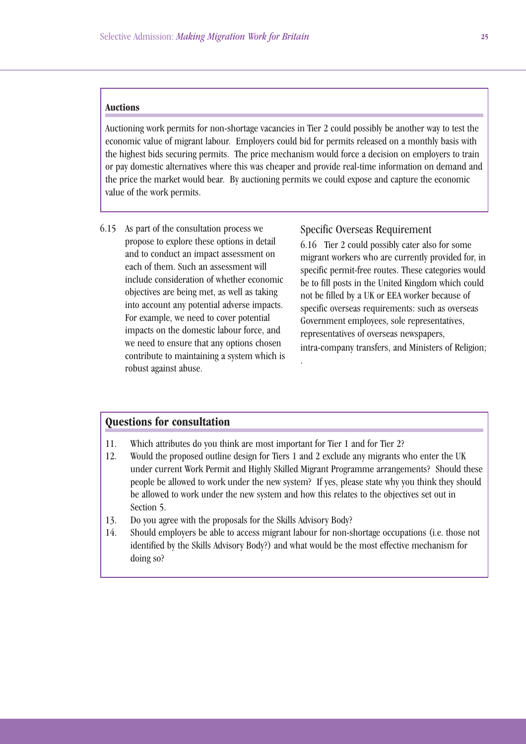#### **Auctions**

Auctioning work permits for non-shortage vacancies in Tier 2 could possibly be another way to test the economic value of migrant labour. Employers could bid for permits released on a monthly basis with the highest bids securing permits. The price mechanism would force a decision on employers to train or pay domestic alternatives where this was cheaper and provide real-time information on demand and the price the market would bear. By auctioning permits we could expose and capture the economic value of the work permits.

6.15 As part of the consultation process we propose to explore these options in detail and to conduct an impact assessment on each of them. Such an assessment will include consideration of whether economic objectives are being met, as well as taking into account any potential adverse impacts. For example, we need to cover potential impacts on the domestic labour force, and we need to ensure that any options chosen contribute to maintaining a system which is robust against abuse.

Specific Overseas Requirement

6.16 Tier 2 could possibly cater also for some migrant workers who are currently provided for, in specific permit-free routes. These categories would be to fill posts in the United Kingdom which could not be filled by a UK or EEA worker because of specific overseas requirements: such as overseas Government employees, sole representatives, representatives of overseas newspapers, intra-company transfers, and Ministers of Religion;

### **Questions for consultation**

- 11. Which attributes do you think are most important for Tier 1 and for Tier 2?
- 12. Would the proposed outline design for Tiers 1 and 2 exclude any migrants who enter the UK under current Work Permit and Highly Skilled Migrant Programme arrangements? Should these people be allowed to work under the new system? If yes, please state why you think they should be allowed to work under the new system and how this relates to the objectives set out in Section 5.

.

- 13. Do you agree with the proposals for the Skills Advisory Body?
- 14. Should employers be able to access migrant labour for non-shortage occupations (i.e. those not identified by the Skills Advisory Body?) and what would be the most effective mechanism for doing so?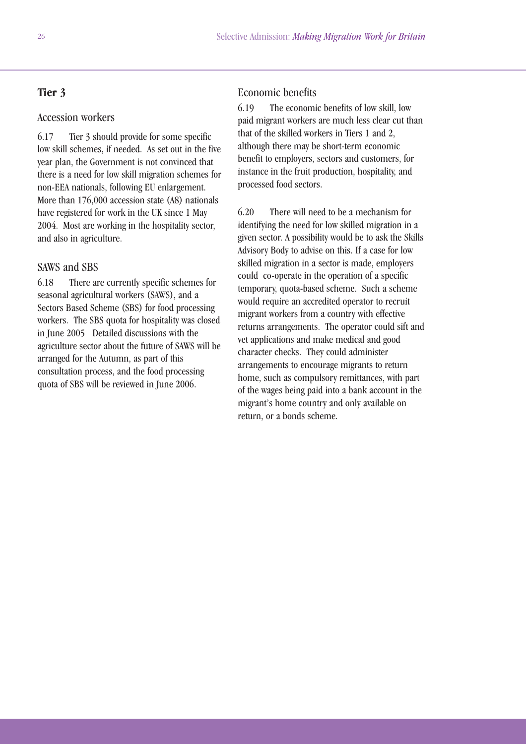# **Tier 3**

#### Accession workers

6.17 Tier 3 should provide for some specific low skill schemes, if needed. As set out in the five year plan, the Government is not convinced that there is a need for low skill migration schemes for non-EEA nationals, following EU enlargement. More than 176,000 accession state (A8) nationals have registered for work in the UK since 1 May 2004. Most are working in the hospitality sector, and also in agriculture.

## SAWS and SBS

6.18 There are currently specific schemes for seasonal agricultural workers (SAWS), and a Sectors Based Scheme (SBS) for food processing workers. The SBS quota for hospitality was closed in June 2005 Detailed discussions with the agriculture sector about the future of SAWS will be arranged for the Autumn, as part of this consultation process, and the food processing quota of SBS will be reviewed in June 2006.

### Economic benefits

6.19 The economic benefits of low skill, low paid migrant workers are much less clear cut than that of the skilled workers in Tiers 1 and 2, although there may be short-term economic benefit to employers, sectors and customers, for instance in the fruit production, hospitality, and processed food sectors.

6.20 There will need to be a mechanism for identifying the need for low skilled migration in a given sector. A possibility would be to ask the Skills Advisory Body to advise on this. If a case for low skilled migration in a sector is made, employers could co-operate in the operation of a specific temporary, quota-based scheme. Such a scheme would require an accredited operator to recruit migrant workers from a country with effective returns arrangements. The operator could sift and vet applications and make medical and good character checks. They could administer arrangements to encourage migrants to return home, such as compulsory remittances, with part of the wages being paid into a bank account in the migrant's home country and only available on return, or a bonds scheme.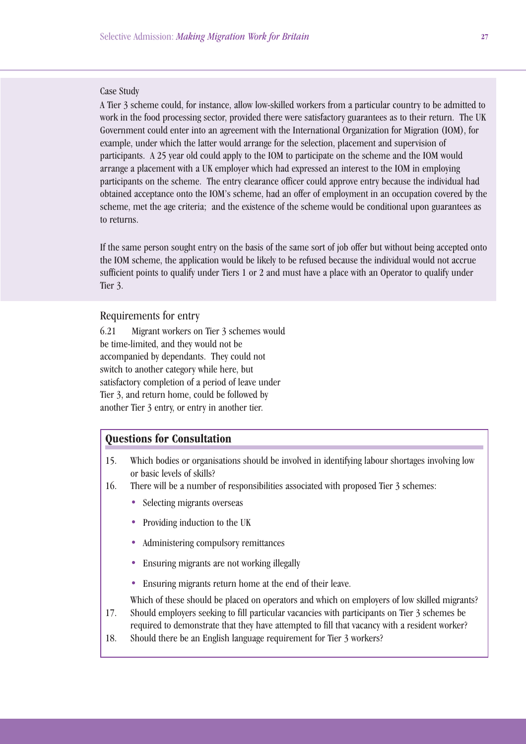#### Case Study

A Tier 3 scheme could, for instance, allow low-skilled workers from a particular country to be admitted to work in the food processing sector, provided there were satisfactory guarantees as to their return. The UK Government could enter into an agreement with the International Organization for Migration (IOM), for example, under which the latter would arrange for the selection, placement and supervision of participants. A 25 year old could apply to the IOM to participate on the scheme and the IOM would arrange a placement with a UK employer which had expressed an interest to the IOM in employing participants on the scheme. The entry clearance officer could approve entry because the individual had obtained acceptance onto the IOM's scheme, had an offer of employment in an occupation covered by the scheme, met the age criteria; and the existence of the scheme would be conditional upon guarantees as to returns.

If the same person sought entry on the basis of the same sort of job offer but without being accepted onto the IOM scheme, the application would be likely to be refused because the individual would not accrue sufficient points to qualify under Tiers 1 or 2 and must have a place with an Operator to qualify under Tier 3.

#### Requirements for entry

6.21 Migrant workers on Tier 3 schemes would be time-limited, and they would not be accompanied by dependants. They could not switch to another category while here, but satisfactory completion of a period of leave under Tier 3, and return home, could be followed by another Tier 3 entry, or entry in another tier.

## **Questions for Consultation**

- 15. Which bodies or organisations should be involved in identifying labour shortages involving low or basic levels of skills?
- 16. There will be a number of responsibilities associated with proposed Tier 3 schemes:
	- Selecting migrants overseas
	- Providing induction to the UK
	- Administering compulsory remittances
	- Ensuring migrants are not working illegally
	- Ensuring migrants return home at the end of their leave.

Which of these should be placed on operators and which on employers of low skilled migrants?

- 17. Should employers seeking to fill particular vacancies with participants on Tier 3 schemes be required to demonstrate that they have attempted to fill that vacancy with a resident worker?
- 18. Should there be an English language requirement for Tier 3 workers?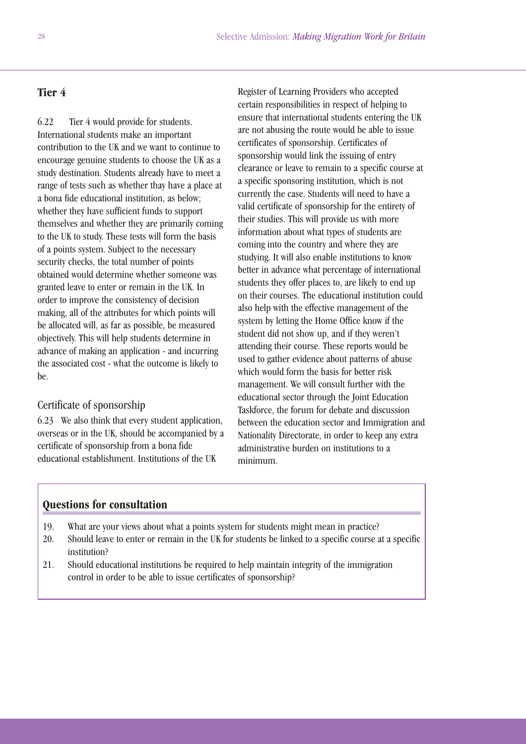# **Tier 4**

6.22 Tier 4 would provide for students. International students make an important contribution to the UK and we want to continue to encourage genuine students to choose the UK as a study destination. Students already have to meet a range of tests such as whether thay have a place at a bona fide educational institution, as below; whether they have sufficient funds to support themselves and whether they are primarily coming to the UK to study. These tests will form the basis of a points system. Subject to the necessary security checks, the total number of points obtained would determine whether someone was granted leave to enter or remain in the UK. In order to improve the consistency of decision making, all of the attributes for which points will be allocated will, as far as possible, be measured objectively. This will help students determine in advance of making an application - and incurring the associated cost - what the outcome is likely to be.

## Certificate of sponsorship

6.23 We also think that every student application, overseas or in the UK, should be accompanied by a certificate of sponsorship from a bona fide educational establishment. Institutions of the UK

Register of Learning Providers who accepted certain responsibilities in respect of helping to ensure that international students entering the UK are not abusing the route would be able to issue certificates of sponsorship. Certificates of sponsorship would link the issuing of entry clearance or leave to remain to a specific course at a specific sponsoring institution, which is not currently the case. Students will need to have a valid certificate of sponsorship for the entirety of their studies. This will provide us with more information about what types of students are coming into the country and where they are studying. It will also enable institutions to know better in advance what percentage of international students they offer places to, are likely to end up on their courses. The educational institution could also help with the effective management of the system by letting the Home Office know if the student did not show up, and if they weren't attending their course. These reports would be used to gather evidence about patterns of abuse which would form the basis for better risk management. We will consult further with the educational sector through the Joint Education Taskforce, the forum for debate and discussion between the education sector and Immigration and Nationality Directorate, in order to keep any extra administrative burden on institutions to a minimum.

- 19. What are your views about what a points system for students might mean in practice?
- 20. Should leave to enter or remain in the UK for students be linked to a specific course at a specific institution?
- 21. Should educational institutions be required to help maintain integrity of the immigration control in order to be able to issue certificates of sponsorship?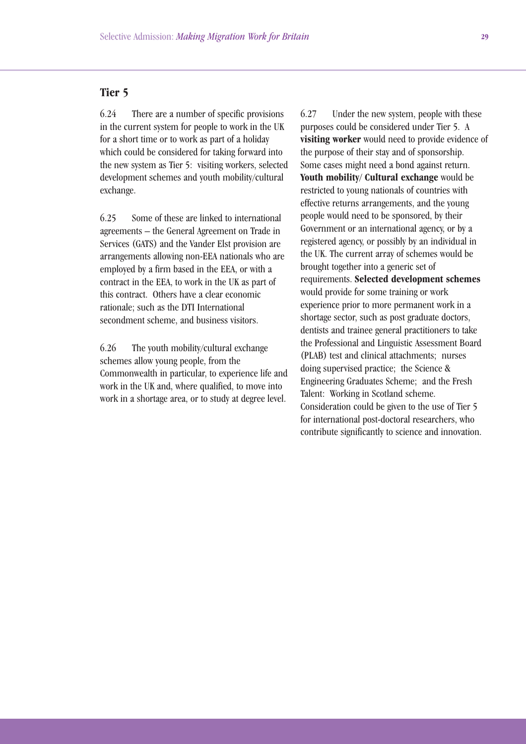# **Tier 5**

6.24 There are a number of specific provisions in the current system for people to work in the UK for a short time or to work as part of a holiday which could be considered for taking forward into the new system as Tier 5: visiting workers, selected development schemes and youth mobility/cultural exchange.

6.25 Some of these are linked to international agreements – the General Agreement on Trade in Services (GATS) and the Vander Elst provision are arrangements allowing non-EEA nationals who are employed by a firm based in the EEA, or with a contract in the EEA, to work in the UK as part of this contract. Others have a clear economic rationale; such as the DTI International secondment scheme, and business visitors.

6.26 The youth mobility/cultural exchange schemes allow young people, from the Commonwealth in particular, to experience life and work in the UK and, where qualified, to move into work in a shortage area, or to study at degree level.

6.27 Under the new system, people with these purposes could be considered under Tier 5. A **visiting worker** would need to provide evidence of the purpose of their stay and of sponsorship. Some cases might need a bond against return. **Youth mobility/ Cultural exchange** would be restricted to young nationals of countries with effective returns arrangements, and the young people would need to be sponsored, by their Government or an international agency, or by a registered agency, or possibly by an individual in the UK. The current array of schemes would be brought together into a generic set of requirements. **Selected development schemes** would provide for some training or work experience prior to more permanent work in a shortage sector, such as post graduate doctors, dentists and trainee general practitioners to take the Professional and Linguistic Assessment Board (PLAB) test and clinical attachments; nurses doing supervised practice; the Science & Engineering Graduates Scheme; and the Fresh Talent: Working in Scotland scheme. Consideration could be given to the use of Tier 5 for international post-doctoral researchers, who contribute significantly to science and innovation.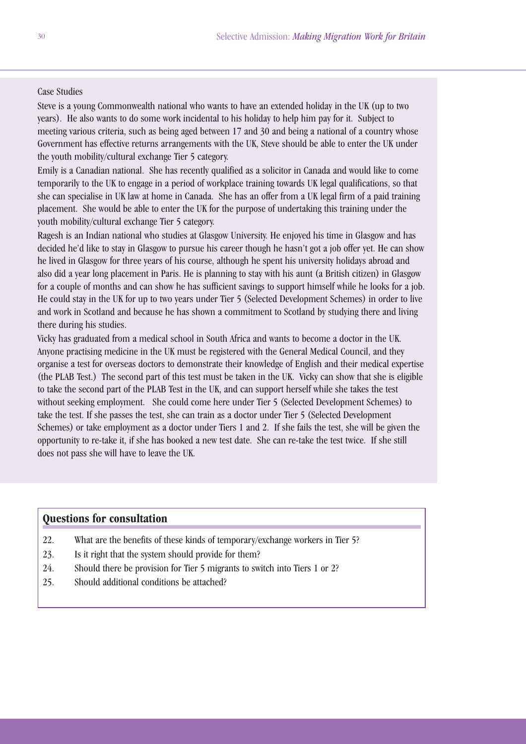### Case Studies

Steve is a young Commonwealth national who wants to have an extended holiday in the UK (up to two years). He also wants to do some work incidental to his holiday to help him pay for it. Subject to meeting various criteria, such as being aged between 17 and 30 and being a national of a country whose Government has effective returns arrangements with the UK, Steve should be able to enter the UK under the youth mobility/cultural exchange Tier 5 category.

Emily is a Canadian national. She has recently qualified as a solicitor in Canada and would like to come temporarily to the UK to engage in a period of workplace training towards UK legal qualifications, so that she can specialise in UK law at home in Canada. She has an offer from a UK legal firm of a paid training placement. She would be able to enter the UK for the purpose of undertaking this training under the youth mobility/cultural exchange Tier 5 category.

Ragesh is an Indian national who studies at Glasgow University. He enjoyed his time in Glasgow and has decided he'd like to stay in Glasgow to pursue his career though he hasn't got a job offer yet. He can show he lived in Glasgow for three years of his course, although he spent his university holidays abroad and also did a year long placement in Paris. He is planning to stay with his aunt (a British citizen) in Glasgow for a couple of months and can show he has sufficient savings to support himself while he looks for a job. He could stay in the UK for up to two years under Tier 5 (Selected Development Schemes) in order to live and work in Scotland and because he has shown a commitment to Scotland by studying there and living there during his studies.

Vicky has graduated from a medical school in South Africa and wants to become a doctor in the UK. Anyone practising medicine in the UK must be registered with the General Medical Council, and they organise a test for overseas doctors to demonstrate their knowledge of English and their medical expertise (the PLAB Test.) The second part of this test must be taken in the UK. Vicky can show that she is eligible to take the second part of the PLAB Test in the UK, and can support herself while she takes the test without seeking employment. She could come here under Tier 5 (Selected Development Schemes) to take the test. If she passes the test, she can train as a doctor under Tier 5 (Selected Development Schemes) or take employment as a doctor under Tiers 1 and 2. If she fails the test, she will be given the opportunity to re-take it, if she has booked a new test date. She can re-take the test twice. If she still does not pass she will have to leave the UK.

- 22. What are the benefits of these kinds of temporary/exchange workers in Tier 5?
- 23. Is it right that the system should provide for them?
- 24. Should there be provision for Tier 5 migrants to switch into Tiers 1 or 2?
- 25. Should additional conditions be attached?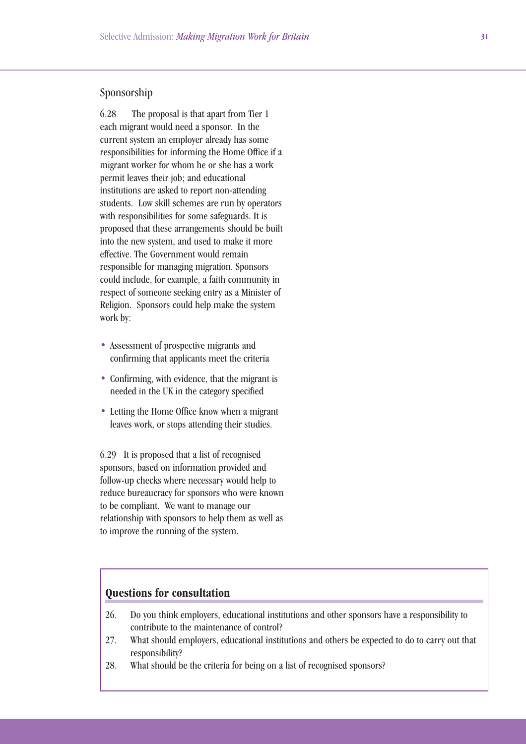## Sponsorship

6.28 The proposal is that apart from Tier 1 each migrant would need a sponsor. In the current system an employer already has some responsibilities for informing the Home Office if a migrant worker for whom he or she has a work permit leaves their job; and educational institutions are asked to report non-attending students. Low skill schemes are run by operators with responsibilities for some safeguards. It is proposed that these arrangements should be built into the new system, and used to make it more effective. The Government would remain responsible for managing migration. Sponsors could include, for example, a faith community in respect of someone seeking entry as a Minister of Religion. Sponsors could help make the system work by:

- Assessment of prospective migrants and confirming that applicants meet the criteria
- Confirming, with evidence, that the migrant is needed in the UK in the category specified
- Letting the Home Office know when a migrant leaves work, or stops attending their studies.

6.29 It is proposed that a list of recognised sponsors, based on information provided and follow-up checks where necessary would help to reduce bureaucracy for sponsors who were known to be compliant. We want to manage our relationship with sponsors to help them as well as to improve the running of the system.

- 26. Do you think employers, educational institutions and other sponsors have a responsibility to contribute to the maintenance of control?
- 27. What should employers, educational institutions and others be expected to do to carry out that responsibility?
- 28. What should be the criteria for being on a list of recognised sponsors?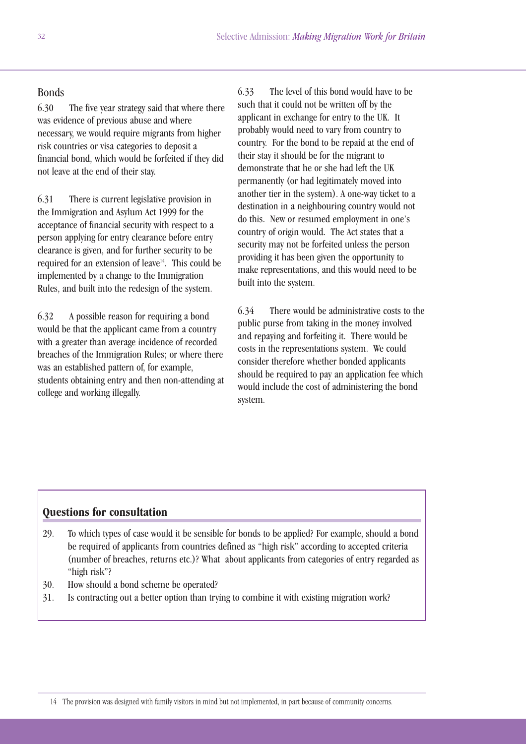## Bonds

6.30 The five year strategy said that where there was evidence of previous abuse and where necessary, we would require migrants from higher risk countries or visa categories to deposit a financial bond, which would be forfeited if they did not leave at the end of their stay.

6.31 There is current legislative provision in the Immigration and Asylum Act 1999 for the acceptance of financial security with respect to a person applying for entry clearance before entry clearance is given, and for further security to be required for an extension of leave<sup>14</sup>. This could be implemented by a change to the Immigration Rules, and built into the redesign of the system.

6.32 A possible reason for requiring a bond would be that the applicant came from a country with a greater than average incidence of recorded breaches of the Immigration Rules; or where there was an established pattern of, for example, students obtaining entry and then non-attending at college and working illegally.

6.33 The level of this bond would have to be such that it could not be written off by the applicant in exchange for entry to the UK. It probably would need to vary from country to country. For the bond to be repaid at the end of their stay it should be for the migrant to demonstrate that he or she had left the UK permanently (or had legitimately moved into another tier in the system). A one-way ticket to a destination in a neighbouring country would not do this. New or resumed employment in one's country of origin would. The Act states that a security may not be forfeited unless the person providing it has been given the opportunity to make representations, and this would need to be built into the system.

6.34 There would be administrative costs to the public purse from taking in the money involved and repaying and forfeiting it. There would be costs in the representations system. We could consider therefore whether bonded applicants should be required to pay an application fee which would include the cost of administering the bond system.

- 29. To which types of case would it be sensible for bonds to be applied? For example, should a bond be required of applicants from countries defined as "high risk" according to accepted criteria (number of breaches, returns etc.)? What about applicants from categories of entry regarded as "high risk"?
- 30. How should a bond scheme be operated?
- 31. Is contracting out a better option than trying to combine it with existing migration work?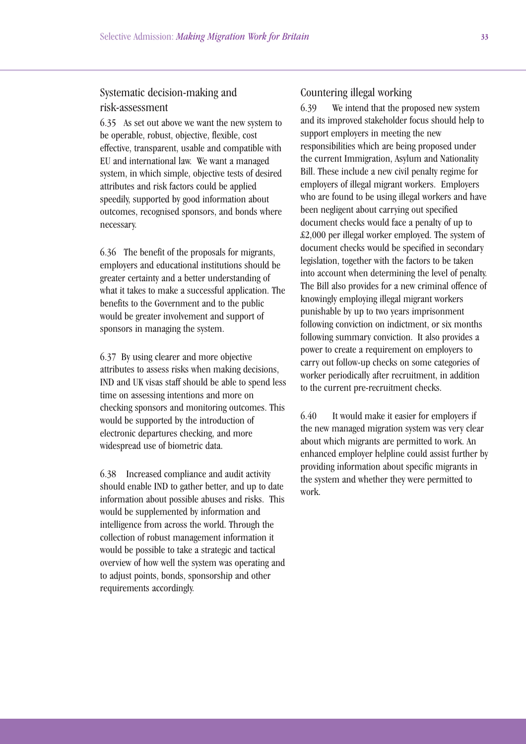# Systematic decision-making and risk-assessment

6.35 As set out above we want the new system to be operable, robust, objective, flexible, cost effective, transparent, usable and compatible with EU and international law. We want a managed system, in which simple, objective tests of desired attributes and risk factors could be applied speedily, supported by good information about outcomes, recognised sponsors, and bonds where necessary.

6.36 The benefit of the proposals for migrants, employers and educational institutions should be greater certainty and a better understanding of what it takes to make a successful application. The benefits to the Government and to the public would be greater involvement and support of sponsors in managing the system.

6.37 By using clearer and more objective attributes to assess risks when making decisions, IND and UK visas staff should be able to spend less time on assessing intentions and more on checking sponsors and monitoring outcomes. This would be supported by the introduction of electronic departures checking, and more widespread use of biometric data.

6.38 Increased compliance and audit activity should enable IND to gather better, and up to date information about possible abuses and risks. This would be supplemented by information and intelligence from across the world. Through the collection of robust management information it would be possible to take a strategic and tactical overview of how well the system was operating and to adjust points, bonds, sponsorship and other requirements accordingly.

# Countering illegal working

6.39 We intend that the proposed new system and its improved stakeholder focus should help to support employers in meeting the new responsibilities which are being proposed under the current Immigration, Asylum and Nationality Bill. These include a new civil penalty regime for employers of illegal migrant workers. Employers who are found to be using illegal workers and have been negligent about carrying out specified document checks would face a penalty of up to £2,000 per illegal worker employed. The system of document checks would be specified in secondary legislation, together with the factors to be taken into account when determining the level of penalty. The Bill also provides for a new criminal offence of knowingly employing illegal migrant workers punishable by up to two years imprisonment following conviction on indictment, or six months following summary conviction. It also provides a power to create a requirement on employers to carry out follow-up checks on some categories of worker periodically after recruitment, in addition to the current pre-recruitment checks.

6.40 It would make it easier for employers if the new managed migration system was very clear about which migrants are permitted to work. An enhanced employer helpline could assist further by providing information about specific migrants in the system and whether they were permitted to work.